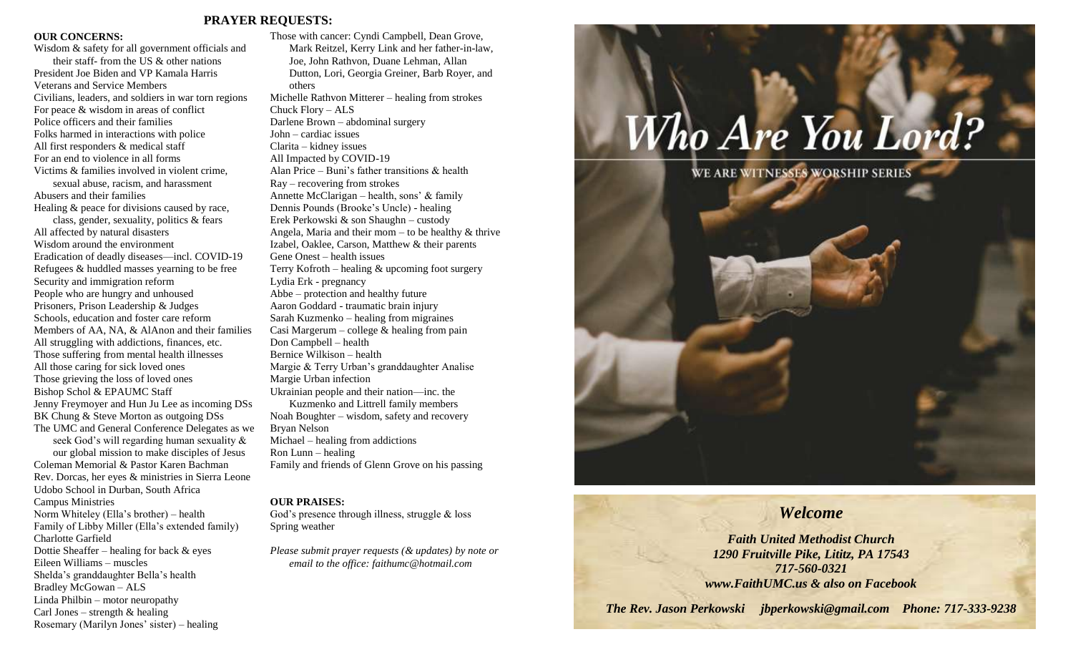#### **PRAYER REQUESTS:**

#### **OUR CONCERNS:**

Wisdom & safety for all government officials and their staff- from the US & other nations President Joe Biden and VP Kamala Harris Veterans and Service Members Civilians, leaders, and soldiers in war torn regions For peace & wisdom in areas of conflict Police officers and their families Folks harmed in interactions with police All first responders & medical staff For an end to violence in all forms Victims & families involved in violent crime, sexual abuse, racism, and harassment Abusers and their families Healing & peace for divisions caused by race, class, gender, sexuality, politics & fears All affected by natural disasters Wisdom around the environment Eradication of deadly diseases—incl. COVID-19 Refugees & huddled masses yearning to be free Security and immigration reform People who are hungry and unhoused Prisoners, Prison Leadership & Judges Schools, education and foster care reform Members of AA, NA, & AlAnon and their families All struggling with addictions, finances, etc. Those suffering from mental health illnesses All those caring for sick loved ones Those grieving the loss of loved ones Bishop Schol & EPAUMC Staff Jenny Freymoyer and Hun Ju Lee as incoming DSs BK Chung & Steve Morton as outgoing DSs The UMC and General Conference Delegates as we seek God's will regarding human sexuality & our global mission to make disciples of Jesus Coleman Memorial & Pastor Karen Bachman Rev. Dorcas, her eyes & ministries in Sierra Leone Udobo School in Durban, South Africa Campus Ministries Norm Whiteley (Ella's brother) – health Family of Libby Miller (Ella's extended family) Charlotte Garfield Dottie Sheaffer – healing for back & eyes Eileen Williams – muscles Shelda's granddaughter Bella's health Bradley McGowan – ALS Linda Philbin – motor neuropathy Carl Jones – strength  $&$  healing

Rosemary (Marilyn Jones' sister) – healing

Those with cancer: Cyndi Campbell, Dean Grove, Mark Reitzel, Kerry Link and her father-in-law, Joe, John Rathvon, Duane Lehman, Allan Dutton, Lori, Georgia Greiner, Barb Royer, and others Michelle Rathvon Mitterer – healing from strokes Chuck Flory – ALS Darlene Brown – abdominal surgery John – cardiac issues Clarita – kidney issues All Impacted by COVID-19 Alan Price – Buni's father transitions & health Ray – recovering from strokes Annette McClarigan – health, sons' & family Dennis Pounds (Brooke's Uncle) - healing Erek Perkowski & son Shaughn – custody Angela, Maria and their mom – to be healthy  $&$  thrive Izabel, Oaklee, Carson, Matthew & their parents Gene Onest – health issues Terry Kofroth – healing  $\&$  upcoming foot surgery Lydia Erk - pregnancy Abbe – protection and healthy future Aaron Goddard - traumatic brain injury Sarah Kuzmenko – healing from migraines Casi Margerum – college  $\&$  healing from pain Don Campbell – health Bernice Wilkison – health Margie & Terry Urban's granddaughter Analise Margie Urban infection Ukrainian people and their nation—inc. the Kuzmenko and Littrell family members Noah Boughter – wisdom, safety and recovery Bryan Nelson Michael – healing from addictions Ron Lunn – healing Family and friends of Glenn Grove on his passing

#### **OUR PRAISES:**

God's presence through illness, struggle & loss Spring weather

*Please submit prayer requests (& updates) by note or email to the office: faithumc@hotmail.com*



# *Welcome*

*Faith United Methodist Church 1290 Fruitville Pike, Lititz, PA 17543 717-560-0321 www.FaithUMC.us & also on Facebook*

*The Rev. Jason Perkowski jbperkowski@gmail.com Phone: 717-333-9238*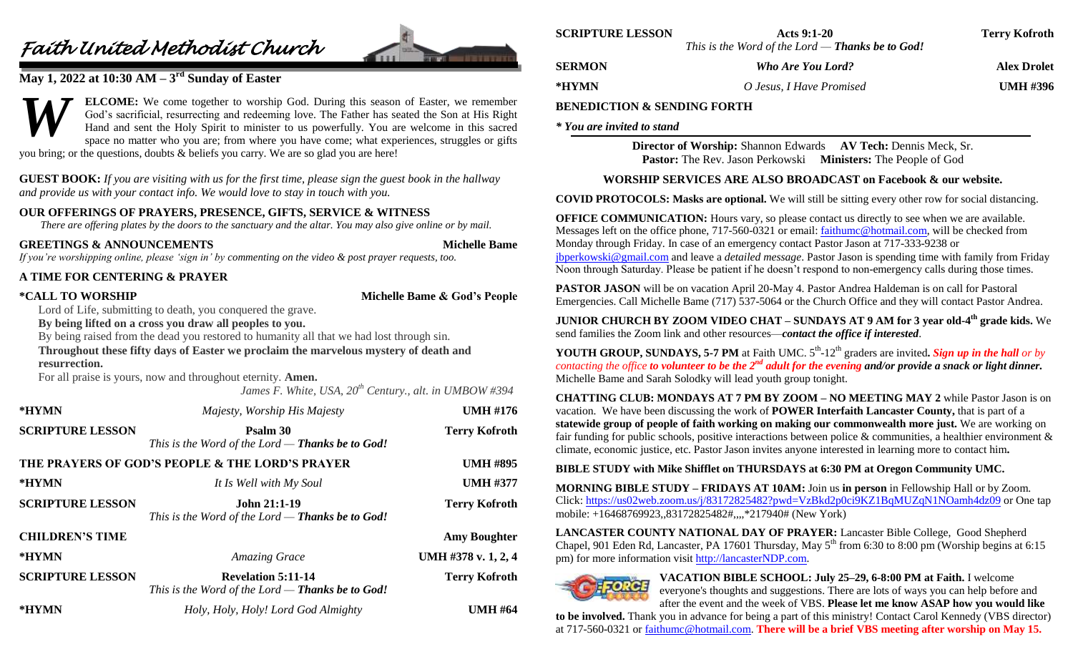# *Faith United Methodist Church*



# **May 1, 2022 at 10:30 AM – 3 rd Sunday of Easter**

**ELCOME:** We come together to worship God. During this season of Easter, we remember God's sacrificial, resurrecting and redeeming love. The Father has seated the Son at His Right Hand and sent the Holy Spirit to minister to us powerfully. You are welcome in this sacred space no matter who you are; from where you have come; what experiences, struggles or gifts you bring; or the questions, doubts & beliefs you carry. We are so glad you are here! *W*

**GUEST BOOK:** *If you are visiting with us for the first time, please sign the guest book in the hallway and provide us with your contact info. We would love to stay in touch with you.*

## **OUR OFFERINGS OF PRAYERS, PRESENCE, GIFTS, SERVICE & WITNESS**

*There are offering plates by the doors to the sanctuary and the altar. You may also give online or by mail.*

#### **GREETINGS & ANNOUNCEMENTS Michelle Bame**

*If you're worshipping online, please 'sign in' by commenting on the video & post prayer requests, too.*

## **A TIME FOR CENTERING & PRAYER**

**\*CALL TO WORSHIP Michelle Bame & God's People**

Lord of Life, submitting to death, you conquered the grave.

**By being lifted on a cross you draw all peoples to you.**

By being raised from the dead you restored to humanity all that we had lost through sin.

## **Throughout these fifty days of Easter we proclaim the marvelous mystery of death and resurrection.**

For all praise is yours, now and throughout eternity. **Amen.**

*James F. White, USA, 20th Century., alt. in UMBOW #394*

| *HYMN                                           | Majesty, Worship His Majesty                                                    | <b>UMH #176</b>      |
|-------------------------------------------------|---------------------------------------------------------------------------------|----------------------|
| <b>SCRIPTURE LESSON</b>                         | Psalm 30<br>This is the Word of the Lord $-$ Thanks be to God!                  | <b>Terry Kofroth</b> |
| THE PRAYERS OF GOD'S PEOPLE & THE LORD'S PRAYER |                                                                                 | <b>UMH #895</b>      |
| *HYMN                                           | It Is Well with My Soul                                                         | <b>UMH #377</b>      |
| <b>SCRIPTURE LESSON</b>                         | <b>John 21:1-19</b><br>This is the Word of the Lord $-$ Thanks be to God!       | <b>Terry Kofroth</b> |
| <b>CHILDREN'S TIME</b>                          |                                                                                 | <b>Amy Boughter</b>  |
| *HYMN                                           | <b>Amazing Grace</b>                                                            | UMH #378 v. 1, 2, 4  |
| <b>SCRIPTURE LESSON</b>                         | <b>Revelation 5:11-14</b><br>This is the Word of the Lord $-$ Thanks be to God! | <b>Terry Kofroth</b> |
| *HYMN                                           | Holy, Holy, Holy! Lord God Almighty                                             | <b>UMH #64</b>       |

| <b>SCRIPTURE LESSON</b> | Acts 9:1-20                                             | <b>Terry Kofroth</b> |
|-------------------------|---------------------------------------------------------|----------------------|
|                         | This is the Word of the Lord — <b>Thanks be to God!</b> |                      |
| <b>SERMON</b>           | <b>Who Are You Lord?</b>                                | <b>Alex Drolet</b>   |
| *HYMN                   | O Jesus, I Have Promised                                | <b>UMH #396</b>      |

# **BENEDICTION & SENDING FORTH**

*\* You are invited to stand*

**Director of Worship:** Shannon Edwards **AV Tech:** Dennis Meck, Sr. **Pastor:** The Rev. Jason Perkowski **Ministers:** The People of God

# **WORSHIP SERVICES ARE ALSO BROADCAST on Facebook & our website.**

**COVID PROTOCOLS: Masks are optional.** We will still be sitting every other row for social distancing.

**OFFICE COMMUNICATION:** Hours vary, so please contact us directly to see when we are available. Messages left on the office phone, 717-560-0321 or email: [faithumc@hotmail.com,](mailto:faithumc@hotmail.com) will be checked from Monday through Friday. In case of an emergency contact Pastor Jason at 717-333-9238 or [jbperkowski@gmail.com](mailto:jbperkowski@gmail.com) and leave a *detailed message*. Pastor Jason is spending time with family from Friday Noon through Saturday. Please be patient if he doesn't respond to non-emergency calls during those times.

**PASTOR JASON** will be on vacation April 20-May 4. Pastor Andrea Haldeman is on call for Pastoral Emergencies. Call Michelle Bame (717) 537-5064 or the Church Office and they will contact Pastor Andrea.

**JUNIOR CHURCH BY ZOOM VIDEO CHAT – SUNDAYS AT 9 AM for 3 year old-4 th grade kids.** We send families the Zoom link and other resources—*contact the office if interested*.

**YOUTH GROUP, SUNDAYS, 5-7 PM** at Faith UMC. 5<sup>th</sup>-12<sup>th</sup> graders are invited. Sign up in the hall or by *contacting the office to volunteer to be the 2nd adult for the evening and/or provide a snack or light dinner.* Michelle Bame and Sarah Solodky will lead youth group tonight.

**CHATTING CLUB: MONDAYS AT 7 PM BY ZOOM – NO MEETING MAY 2** while Pastor Jason is on vacation. We have been discussing the work of **POWER Interfaith Lancaster County,** that is part of a **statewide group of people of faith working on making our commonwealth more just.** We are working on fair funding for public schools, positive interactions between police & communities, a healthier environment & climate, economic justice, etc. Pastor Jason invites anyone interested in learning more to contact him**.**

**BIBLE STUDY with Mike Shifflet on THURSDAYS at 6:30 PM at Oregon Community UMC.**

**MORNING BIBLE STUDY – FRIDAYS AT 10AM:** Join us **in person** in Fellowship Hall or by Zoom. Click:<https://us02web.zoom.us/j/83172825482?pwd=VzBkd2p0ci9KZ1BqMUZqN1NOamh4dz09> or One tap mobile: +16468769923,,83172825482#,,,,\*217940# (New York)

**LANCASTER COUNTY NATIONAL DAY OF PRAYER:** Lancaster Bible College, Good Shepherd Chapel, 901 Eden Rd, Lancaster, PA 17601 Thursday, May  $5<sup>th</sup>$  from 6:30 to 8:00 pm (Worship begins at 6:15 pm) for more information visit [http://lancasterNDP.com.](http://lancasterndp.com/)

**VACATION BIBLE SCHOOL: July 25–29, 6-8:00 PM at Faith.** I welcome everyone's thoughts and suggestions. There are lots of ways you can help before and after the event and the week of VBS. **Please let me know ASAP how you would like** 

**to be involved.** Thank you in advance for being a part of this ministry! Contact Carol Kennedy (VBS director) at 717-560-0321 o[r faithumc@hotmail.com.](mailto:faithumc@hotmail.com) **There will be a brief VBS meeting after worship on May 15.**